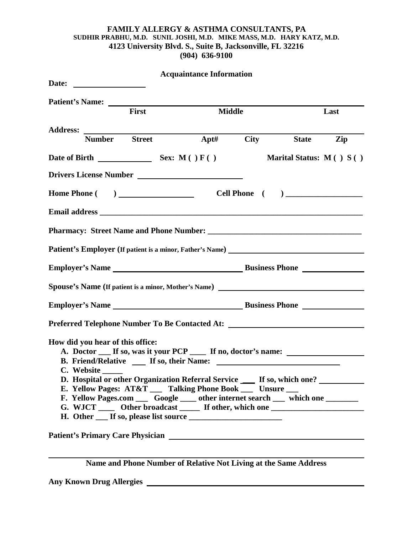# **FAMILY ALLERGY & ASTHMA CONSULTANTS, PA SUDHIR PRABHU, M.D. SUNIL JOSHI, M.D. MIKE MASS, M.D. HARY KATZ, M.D. 4123 University Blvd. S., Suite B, Jacksonville, FL 32216 (904) 636-9100**

|                                                |       | <b>Acquaintance Information</b>                                                                                                                                                                                                                                                                                                                                                                                 |                             |      |
|------------------------------------------------|-------|-----------------------------------------------------------------------------------------------------------------------------------------------------------------------------------------------------------------------------------------------------------------------------------------------------------------------------------------------------------------------------------------------------------------|-----------------------------|------|
|                                                | First | <b>Middle</b>                                                                                                                                                                                                                                                                                                                                                                                                   |                             | Last |
|                                                |       |                                                                                                                                                                                                                                                                                                                                                                                                                 |                             |      |
| <b>Number</b> Street                           |       |                                                                                                                                                                                                                                                                                                                                                                                                                 | Apt# City State             | Zip  |
| Date of Birth Sex: M()F()                      |       |                                                                                                                                                                                                                                                                                                                                                                                                                 | Marital Status: $M( ) S( )$ |      |
|                                                |       |                                                                                                                                                                                                                                                                                                                                                                                                                 |                             |      |
| Home Phone ( )                                 |       |                                                                                                                                                                                                                                                                                                                                                                                                                 |                             |      |
|                                                |       |                                                                                                                                                                                                                                                                                                                                                                                                                 |                             |      |
|                                                |       |                                                                                                                                                                                                                                                                                                                                                                                                                 |                             |      |
|                                                |       | Patient's Employer (If patient is a minor, Father's Name) _______________________                                                                                                                                                                                                                                                                                                                               |                             |      |
|                                                |       |                                                                                                                                                                                                                                                                                                                                                                                                                 |                             |      |
|                                                |       |                                                                                                                                                                                                                                                                                                                                                                                                                 |                             |      |
|                                                |       |                                                                                                                                                                                                                                                                                                                                                                                                                 |                             |      |
|                                                |       | Preferred Telephone Number To Be Contacted At: _________________________________                                                                                                                                                                                                                                                                                                                                |                             |      |
| How did you hear of this office:<br>C. Website |       | A. Doctor __ If so, was it your PCP ___ If no, doctor's name: __________________<br>D. Hospital or other Organization Referral Service ____ If so, which one? _______<br>E. Yellow Pages: AT&T __ Talking Phone Book __ Unsure __<br>F. Yellow Pages.com _____ Google _____ other internet search _____ which one _________<br>G. WJCT ______ Other broadcast _______ If other, which one _____________________ |                             |      |
|                                                |       |                                                                                                                                                                                                                                                                                                                                                                                                                 |                             |      |

**Name and Phone Number of Relative Not Living at the Same Address**

**Any Known Drug Allergies**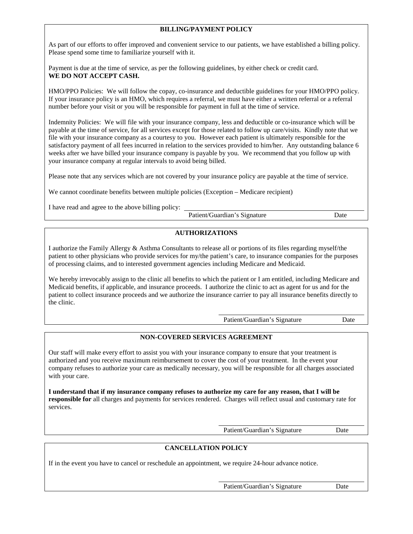### **BILLING/PAYMENT POLICY**

As part of our efforts to offer improved and convenient service to our patients, we have established a billing policy. Please spend some time to familiarize yourself with it.

Payment is due at the time of service, as per the following guidelines, by either check or credit card. **WE DO NOT ACCEPT CASH.**

HMO/PPO Policies: We will follow the copay, co-insurance and deductible guidelines for your HMO/PPO policy. If your insurance policy is an HMO, which requires a referral, we must have either a written referral or a referral number before your visit or you will be responsible for payment in full at the time of service.

Indemnity Policies: We will file with your insurance company, less and deductible or co-insurance which will be payable at the time of service, for all services except for those related to follow up care/visits. Kindly note that we file with your insurance company as a courtesy to you. However each patient is ultimately responsible for the satisfactory payment of all fees incurred in relation to the services provided to him/her. Any outstanding balance 6 weeks after we have billed your insurance company is payable by you. We recommend that you follow up with your insurance company at regular intervals to avoid being billed.

Please note that any services which are not covered by your insurance policy are payable at the time of service.

We cannot coordinate benefits between multiple policies (Exception – Medicare recipient)

I have read and agree to the above billing policy:

Patient/Guardian's Signature Date

# **AUTHORIZATIONS**

I authorize the Family Allergy & Asthma Consultants to release all or portions of its files regarding myself/the patient to other physicians who provide services for my/the patient's care, to insurance companies for the purposes of processing claims, and to interested government agencies including Medicare and Medicaid.

We hereby irrevocably assign to the clinic all benefits to which the patient or I am entitled, including Medicare and Medicaid benefits, if applicable, and insurance proceeds. I authorize the clinic to act as agent for us and for the patient to collect insurance proceeds and we authorize the insurance carrier to pay all insurance benefits directly to the clinic.

Patient/Guardian's Signature Date

## **NON-COVERED SERVICES AGREEMENT**

Our staff will make every effort to assist you with your insurance company to ensure that your treatment is authorized and you receive maximum reimbursement to cover the cost of your treatment. In the event your company refuses to authorize your care as medically necessary, you will be responsible for all charges associated with your care.

**I understand that if my insurance company refuses to authorize my care for any reason, that I will be responsible for** all charges and payments for services rendered. Charges will reflect usual and customary rate for services.

Patient/Guardian's Signature Date

#### **CANCELLATION POLICY**

If in the event you have to cancel or reschedule an appointment, we require 24-hour advance notice.

Patient/Guardian's Signature Date